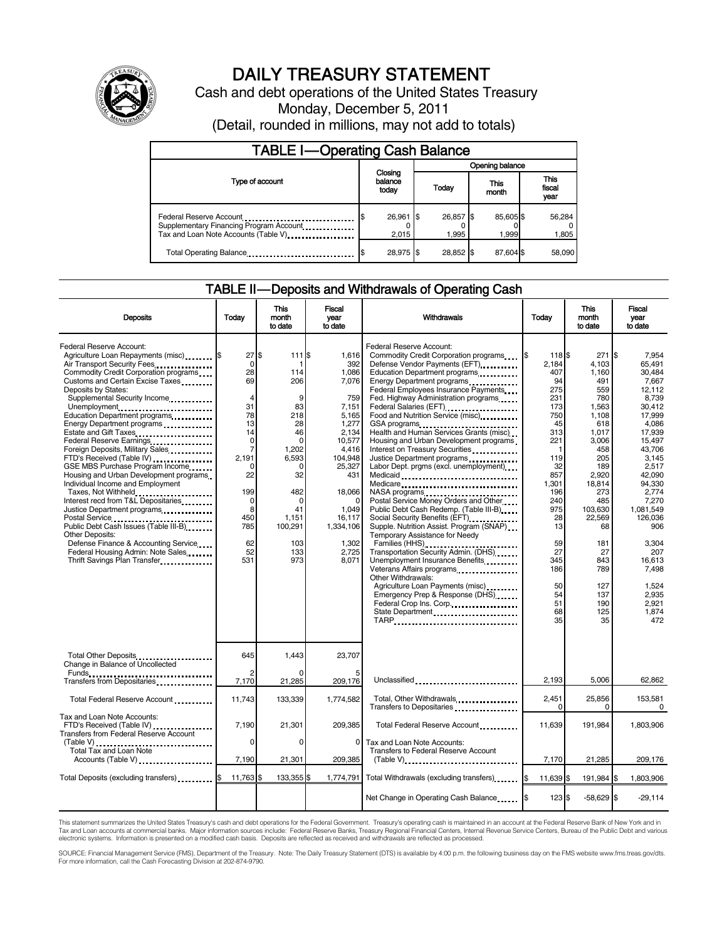

# DAILY TREASURY STATEMENT

Cash and debt operations of the United States Treasury Monday, December 5, 2011 (Detail, rounded in millions, may not add to totals)

| <b>TABLE I-Operating Cash Balance</b>                                                                       |                             |                    |                    |                               |  |  |
|-------------------------------------------------------------------------------------------------------------|-----------------------------|--------------------|--------------------|-------------------------------|--|--|
|                                                                                                             |                             | Opening balance    |                    |                               |  |  |
| Type of account                                                                                             | Closing<br>balance<br>today | Today              | This<br>month      | <b>This</b><br>fiscal<br>year |  |  |
| Federal Reserve Account<br>Supplementary Financing Program Account<br>Tax and Loan Note Accounts (Table V). | 26,961 \$<br>2.015          | 26,857 \$<br>1.995 | 85,605 \$<br>1.999 | 56,284<br>1,805               |  |  |
| Total Operating Balance                                                                                     | 28,975 \$                   | 28.852 \$          | 87.604 \$          | 58,090                        |  |  |

# TABLE II — Deposits and Withdrawals of Operating Cash

| <b>Deposits</b>                                                                                                                                                                                                                                                                                                                                                                                                                                                                                                                                                                                                                                                                                                                                                                                                                                            | Todav                                                                                                                                                                     | <b>This</b><br>month<br>to date                                                                                                                                | <b>Fiscal</b><br>vear<br>to date                                                                                                                                                              | Withdrawals                                                                                                                                                                                                                                                                                                                                                                                                                                                                                                                                                                                                                                                                                                                                                                                                                                                                                                                                                                                                                                                                                    |                                                                                                                                                                                                                    | <b>This</b><br>month<br>to date                                                                                                                                                                                                     | Fiscal<br>vear<br>to date                                                                                                                                                                                                                                                                    |  |
|------------------------------------------------------------------------------------------------------------------------------------------------------------------------------------------------------------------------------------------------------------------------------------------------------------------------------------------------------------------------------------------------------------------------------------------------------------------------------------------------------------------------------------------------------------------------------------------------------------------------------------------------------------------------------------------------------------------------------------------------------------------------------------------------------------------------------------------------------------|---------------------------------------------------------------------------------------------------------------------------------------------------------------------------|----------------------------------------------------------------------------------------------------------------------------------------------------------------|-----------------------------------------------------------------------------------------------------------------------------------------------------------------------------------------------|------------------------------------------------------------------------------------------------------------------------------------------------------------------------------------------------------------------------------------------------------------------------------------------------------------------------------------------------------------------------------------------------------------------------------------------------------------------------------------------------------------------------------------------------------------------------------------------------------------------------------------------------------------------------------------------------------------------------------------------------------------------------------------------------------------------------------------------------------------------------------------------------------------------------------------------------------------------------------------------------------------------------------------------------------------------------------------------------|--------------------------------------------------------------------------------------------------------------------------------------------------------------------------------------------------------------------|-------------------------------------------------------------------------------------------------------------------------------------------------------------------------------------------------------------------------------------|----------------------------------------------------------------------------------------------------------------------------------------------------------------------------------------------------------------------------------------------------------------------------------------------|--|
| Federal Reserve Account:<br>Agriculture Loan Repayments (misc) \$<br>Air Transport Security Fees<br>Commodity Credit Corporation programs<br>Customs and Certain Excise Taxes<br>Deposits by States:<br>Supplemental Security Income<br>Unemployment<br>Education Department programs<br>Energy Department programs<br>Estate and Gift Taxes<br>Federal Reserve Earnings.<br>Foreign Deposits, Military Sales<br>FTD's Received (Table IV)<br>GSE MBS Purchase Program Income<br>Housing and Urban Development programs<br>Individual Income and Employment<br>Taxes, Not Withheld<br>Interest recd from T&L Depositaries<br>Justice Department programs<br>Postal Service<br>Public Debt Cash Issues (Table III-B)<br><b>Other Deposits:</b><br>Defense Finance & Accounting Service<br>Federal Housing Admin: Note Sales<br>Thrift Savings Plan Transfer | 27S<br>$\Omega$<br>28<br>69<br>$\overline{4}$<br>31<br>78<br>13<br>14<br>0<br>$\overline{7}$<br>2,191<br>$\Omega$<br>22<br>199<br>0<br>8<br>450<br>785<br>62<br>52<br>531 | 111 \\$<br>114<br>206<br>9<br>83<br>218<br>28<br>46<br>$\Omega$<br>1,202<br>6,593<br>0<br>32<br>482<br>$\Omega$<br>41<br>1.151<br>100,291<br>103<br>133<br>973 | 1,616<br>392<br>1,086<br>7.076<br>759<br>7,151<br>5,165<br>1,277<br>2,134<br>10,577<br>4,416<br>104,948<br>25,327<br>431<br>18,066<br>1.049<br>16.117<br>1.334.106<br>1,302<br>2,725<br>8,071 | Federal Reserve Account:<br>Commodity Credit Corporation programs \$<br>Defense Vendor Payments (EFT)<br>Education Department programs<br>Energy Department programs<br>Federal Employees Insurance Payments<br>Fed. Highway Administration programs<br>Federal Salaries (EFT)<br>Food and Nutrition Service (misc)<br>GSA programs<br>Health and Human Services Grants (misc)<br>Housing and Urban Development programs<br>Interest on Treasury Securities<br>Justice Department programs<br>Labor Dept. prgms (excl. unemployment)<br>Medicaid<br>Medicare<br>Postal Service Money Orders and Other<br>Public Debt Cash Redemp. (Table III-B)<br>Social Security Benefits (EFT)<br>1991 - The Social Security Benefits (EFT)<br>Supple. Nutrition Assist. Program (SNAP)<br>Temporary Assistance for Needy<br>Families (HHS)<br>Transportation Security Admin. (DHS)<br>Unemployment Insurance Benefits<br>Veterans Affairs programs<br><br>Other Withdrawals:<br>Agriculture Loan Payments (misc)<br>Emergency Prep & Response (DHS)<br>Federal Crop Ins. Corp.<br>State Department<br>TARP | 118 \$<br>2.184<br>407<br>94<br>275<br>231<br>173<br>750<br>45<br>313<br>221<br>$\mathbf{1}$<br>119<br>32<br>857<br>1,301<br>196<br>240<br>975<br>28<br>13<br>59<br>27<br>345<br>186<br>50<br>54<br>51<br>68<br>35 | 271<br>4.103<br>1,160<br>491<br>559<br>780<br>1,563<br>1.108<br>618<br>1,017<br>3,006<br>458<br>205<br>189<br>2,920<br>18,814<br>273<br>485<br>103.630<br>22.569<br>68<br>181<br>27<br>843<br>789<br>127<br>137<br>190<br>125<br>35 | l\$<br>7.954<br>65.491<br>30.484<br>7.667<br>12.112<br>8.739<br>30.412<br>17.999<br>4,086<br>17,939<br>15,497<br>43,706<br>3,145<br>2,517<br>42.090<br>94,330<br>2.774<br>7,270<br>1.081.549<br>126.036<br>906<br>3,304<br>207<br>16.613<br>7,498<br>1.524<br>2.935<br>2.921<br>1.874<br>472 |  |
| Total Other Deposits<br>Change in Balance of Uncollected                                                                                                                                                                                                                                                                                                                                                                                                                                                                                                                                                                                                                                                                                                                                                                                                   | 645                                                                                                                                                                       | 1.443                                                                                                                                                          | 23.707                                                                                                                                                                                        |                                                                                                                                                                                                                                                                                                                                                                                                                                                                                                                                                                                                                                                                                                                                                                                                                                                                                                                                                                                                                                                                                                |                                                                                                                                                                                                                    |                                                                                                                                                                                                                                     |                                                                                                                                                                                                                                                                                              |  |
| Transfers from Depositaries                                                                                                                                                                                                                                                                                                                                                                                                                                                                                                                                                                                                                                                                                                                                                                                                                                | $\overline{2}$<br>7,170                                                                                                                                                   | 21,285                                                                                                                                                         | 209,176                                                                                                                                                                                       | Unclassified                                                                                                                                                                                                                                                                                                                                                                                                                                                                                                                                                                                                                                                                                                                                                                                                                                                                                                                                                                                                                                                                                   | 2,193                                                                                                                                                                                                              | 5,006                                                                                                                                                                                                                               | 62,862                                                                                                                                                                                                                                                                                       |  |
| Total Federal Reserve Account                                                                                                                                                                                                                                                                                                                                                                                                                                                                                                                                                                                                                                                                                                                                                                                                                              | 11,743                                                                                                                                                                    | 133,339                                                                                                                                                        | 1,774,582                                                                                                                                                                                     | Total, Other Withdrawals<br>Transfers to Depositaries                                                                                                                                                                                                                                                                                                                                                                                                                                                                                                                                                                                                                                                                                                                                                                                                                                                                                                                                                                                                                                          | 2,451<br>$\Omega$                                                                                                                                                                                                  | 25,856<br>0                                                                                                                                                                                                                         | 153,581<br>0                                                                                                                                                                                                                                                                                 |  |
| Tax and Loan Note Accounts:<br>FTD's Received (Table IV)<br><b>Transfers from Federal Reserve Account</b>                                                                                                                                                                                                                                                                                                                                                                                                                                                                                                                                                                                                                                                                                                                                                  | 7,190<br>0                                                                                                                                                                | 21,301<br>$\Omega$                                                                                                                                             | 209,385<br>$\Omega$                                                                                                                                                                           | Total Federal Reserve Account<br>Tax and Loan Note Accounts:                                                                                                                                                                                                                                                                                                                                                                                                                                                                                                                                                                                                                                                                                                                                                                                                                                                                                                                                                                                                                                   | 11,639                                                                                                                                                                                                             | 191.984                                                                                                                                                                                                                             | 1,803,906                                                                                                                                                                                                                                                                                    |  |
| (Table V)<br>Total Tax and Loan Note<br>Accounts (Table V)                                                                                                                                                                                                                                                                                                                                                                                                                                                                                                                                                                                                                                                                                                                                                                                                 | 7,190                                                                                                                                                                     | 21,301                                                                                                                                                         | 209,385                                                                                                                                                                                       | <b>Transfers to Federal Reserve Account</b><br>$(Table V)$ ,                                                                                                                                                                                                                                                                                                                                                                                                                                                                                                                                                                                                                                                                                                                                                                                                                                                                                                                                                                                                                                   | 7,170                                                                                                                                                                                                              | 21,285                                                                                                                                                                                                                              | 209,176                                                                                                                                                                                                                                                                                      |  |
| Total Deposits (excluding transfers) <b>\$</b>                                                                                                                                                                                                                                                                                                                                                                                                                                                                                                                                                                                                                                                                                                                                                                                                             | 11,763 \$                                                                                                                                                                 | 133,355 \$                                                                                                                                                     | 1.774.791                                                                                                                                                                                     | Total Withdrawals (excluding transfers) [\$                                                                                                                                                                                                                                                                                                                                                                                                                                                                                                                                                                                                                                                                                                                                                                                                                                                                                                                                                                                                                                                    | 11,639 \$                                                                                                                                                                                                          | 191,984 \$                                                                                                                                                                                                                          | 1,803,906                                                                                                                                                                                                                                                                                    |  |
|                                                                                                                                                                                                                                                                                                                                                                                                                                                                                                                                                                                                                                                                                                                                                                                                                                                            |                                                                                                                                                                           |                                                                                                                                                                |                                                                                                                                                                                               | Net Change in Operating Cash Balance \,\                                                                                                                                                                                                                                                                                                                                                                                                                                                                                                                                                                                                                                                                                                                                                                                                                                                                                                                                                                                                                                                       | 123 \$                                                                                                                                                                                                             | $-58,629$ \$                                                                                                                                                                                                                        | $-29,114$                                                                                                                                                                                                                                                                                    |  |

This statement summarizes the United States Treasury's cash and debt operations for the Federal Government. Treasury's operating cash is maintained in an account at the Federal Reserve Bank of New York and in<br>Tax and Loan

SOURCE: Financial Management Service (FMS), Department of the Treasury. Note: The Daily Treasury Statement (DTS) is available by 4:00 p.m. the following business day on the FMS website www.fms.treas.gov/dts.<br>For more infor